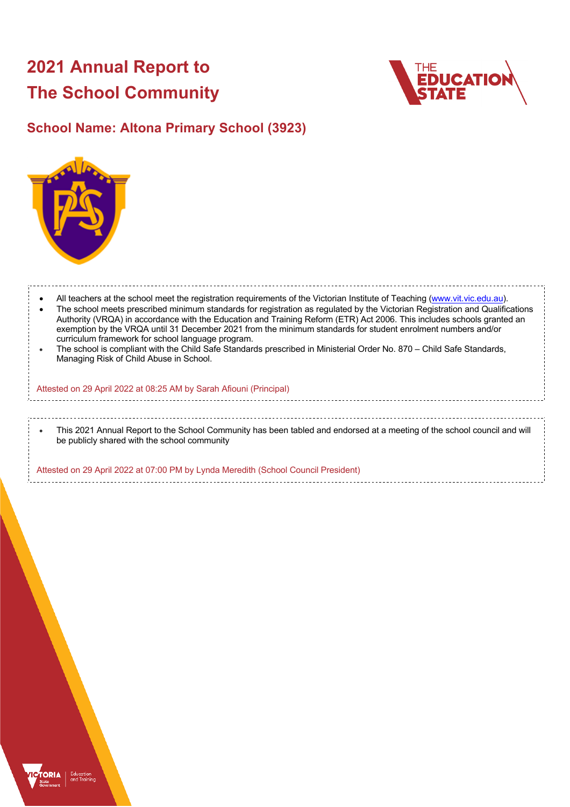# **2021 Annual Report to The School Community**



## **School Name: Altona Primary School (3923)**



All teachers at the school meet the registration requirements of the Victorian Institute of Teaching (www.vit.vic.edu.au). • The school meets prescribed minimum standards for registration as regulated by the Victorian Registration and Qualifications Authority (VRQA) in accordance with the Education and Training Reform (ETR) Act 2006. This includes schools granted an exemption by the VRQA until 31 December 2021 from the minimum standards for student enrolment numbers and/or curriculum framework for school language program. • The school is compliant with the Child Safe Standards prescribed in Ministerial Order No. 870 – Child Safe Standards, Managing Risk of Child Abuse in School. Attested on 29 April 2022 at 08:25 AM by Sarah Afiouni (Principal)

• This 2021 Annual Report to the School Community has been tabled and endorsed at a meeting of the school council and will be publicly shared with the school community

Attested on 29 April 2022 at 07:00 PM by Lynda Meredith (School Council President)

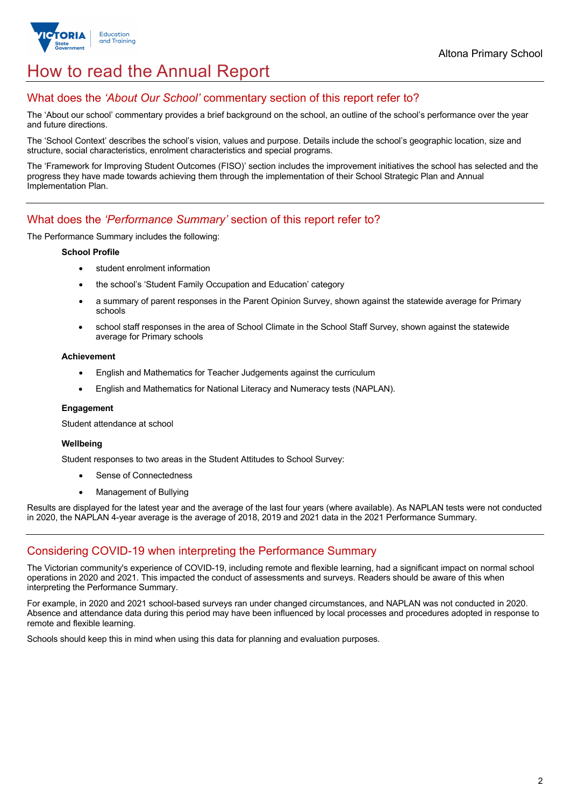

## How to read the Annual Report

## What does the *'About Our School'* commentary section of this report refer to?

The 'About our school' commentary provides a brief background on the school, an outline of the school's performance over the year and future directions.

The 'School Context' describes the school's vision, values and purpose. Details include the school's geographic location, size and structure, social characteristics, enrolment characteristics and special programs.

The 'Framework for Improving Student Outcomes (FISO)' section includes the improvement initiatives the school has selected and the progress they have made towards achieving them through the implementation of their School Strategic Plan and Annual Implementation Plan.

## What does the *'Performance Summary'* section of this report refer to?

The Performance Summary includes the following:

#### **School Profile**

- student enrolment information
- the school's 'Student Family Occupation and Education' category
- a summary of parent responses in the Parent Opinion Survey, shown against the statewide average for Primary schools
- school staff responses in the area of School Climate in the School Staff Survey, shown against the statewide average for Primary schools

#### **Achievement**

- English and Mathematics for Teacher Judgements against the curriculum
- English and Mathematics for National Literacy and Numeracy tests (NAPLAN).

#### **Engagement**

Student attendance at school

#### **Wellbeing**

Student responses to two areas in the Student Attitudes to School Survey:

- Sense of Connectedness
- Management of Bullying

Results are displayed for the latest year and the average of the last four years (where available). As NAPLAN tests were not conducted in 2020, the NAPLAN 4-year average is the average of 2018, 2019 and 2021 data in the 2021 Performance Summary.

### Considering COVID-19 when interpreting the Performance Summary

The Victorian community's experience of COVID-19, including remote and flexible learning, had a significant impact on normal school operations in 2020 and 2021. This impacted the conduct of assessments and surveys. Readers should be aware of this when interpreting the Performance Summary.

For example, in 2020 and 2021 school-based surveys ran under changed circumstances, and NAPLAN was not conducted in 2020. Absence and attendance data during this period may have been influenced by local processes and procedures adopted in response to remote and flexible learning.

Schools should keep this in mind when using this data for planning and evaluation purposes.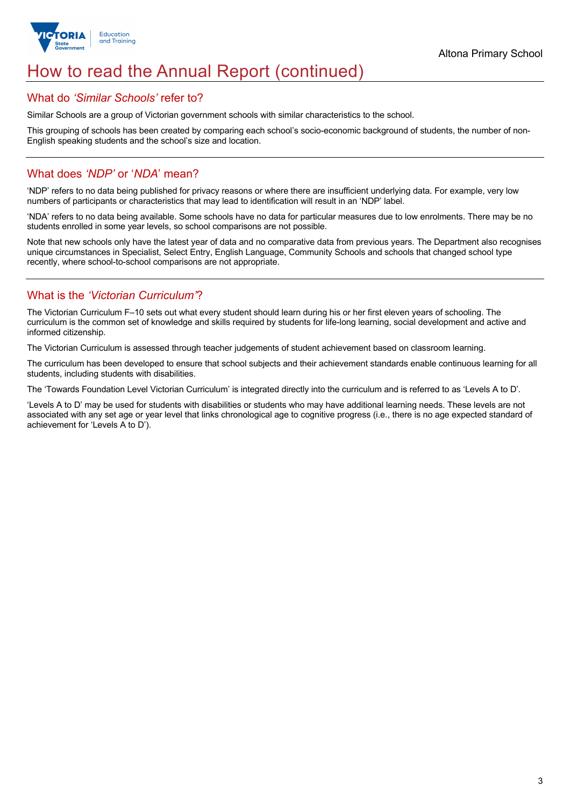

## How to read the Annual Report (continued)

#### What do *'Similar Schools'* refer to?

Similar Schools are a group of Victorian government schools with similar characteristics to the school.

This grouping of schools has been created by comparing each school's socio-economic background of students, the number of non-English speaking students and the school's size and location.

## What does *'NDP'* or '*NDA*' mean?

'NDP' refers to no data being published for privacy reasons or where there are insufficient underlying data. For example, very low numbers of participants or characteristics that may lead to identification will result in an 'NDP' label.

'NDA' refers to no data being available. Some schools have no data for particular measures due to low enrolments. There may be no students enrolled in some year levels, so school comparisons are not possible.

Note that new schools only have the latest year of data and no comparative data from previous years. The Department also recognises unique circumstances in Specialist, Select Entry, English Language, Community Schools and schools that changed school type recently, where school-to-school comparisons are not appropriate.

## What is the *'Victorian Curriculum'*?

The Victorian Curriculum F–10 sets out what every student should learn during his or her first eleven years of schooling. The curriculum is the common set of knowledge and skills required by students for life-long learning, social development and active and informed citizenship.

The Victorian Curriculum is assessed through teacher judgements of student achievement based on classroom learning.

The curriculum has been developed to ensure that school subjects and their achievement standards enable continuous learning for all students, including students with disabilities.

The 'Towards Foundation Level Victorian Curriculum' is integrated directly into the curriculum and is referred to as 'Levels A to D'.

'Levels A to D' may be used for students with disabilities or students who may have additional learning needs. These levels are not associated with any set age or year level that links chronological age to cognitive progress (i.e., there is no age expected standard of achievement for 'Levels A to D').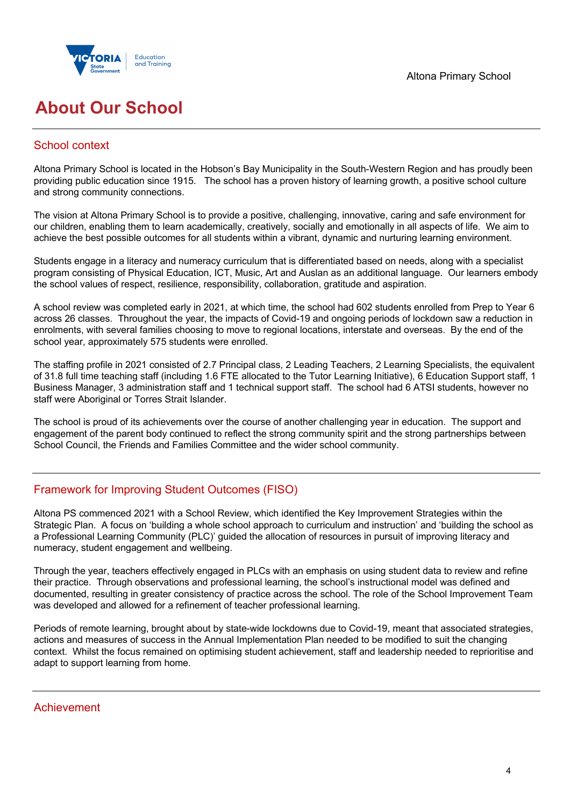

## **About Our School**

## School context

Altona Primary School is located in the Hobson's Bay Municipality in the South-Western Region and has proudly been providing public education since 1915. The school has a proven history of learning growth, a positive school culture and strong community connections.

The vision at Altona Primary School is to provide a positive, challenging, innovative, caring and safe environment for our children, enabling them to learn academically, creatively, socially and emotionally in all aspects of life. We aim to achieve the best possible outcomes for all students within a vibrant, dynamic and nurturing learning environment.

Students engage in a literacy and numeracy curriculum that is differentiated based on needs, along with a specialist program consisting of Physical Education, ICT, Music, Art and Auslan as an additional language. Our learners embody the school values of respect, resilience, responsibility, collaboration, gratitude and aspiration.

A school review was completed early in 2021, at which time, the school had 602 students enrolled from Prep to Year 6 across 26 classes. Throughout the year, the impacts of Covid-19 and ongoing periods of lockdown saw a reduction in enrolments, with several families choosing to move to regional locations, interstate and overseas. By the end of the school year, approximately 575 students were enrolled.

The staffing profile in 2021 consisted of 2.7 Principal class, 2 Leading Teachers, 2 Learning Specialists, the equivalent of 31.8 full time teaching staff (including 1.6 FTE allocated to the Tutor Learning Initiative), 6 Education Support staff, 1 Business Manager, 3 administration staff and 1 technical support staff. The school had 6 ATSI students, however no staff were Aboriginal or Torres Strait Islander.

The school is proud of its achievements over the course of another challenging year in education. The support and engagement of the parent body continued to reflect the strong community spirit and the strong partnerships between School Council, the Friends and Families Committee and the wider school community.

## Framework for Improving Student Outcomes (FISO)

Altona PS commenced 2021 with a School Review, which identified the Key Improvement Strategies within the Strategic Plan. A focus on 'building a whole school approach to curriculum and instruction' and 'building the school as a Professional Learning Community (PLC)' guided the allocation of resources in pursuit of improving literacy and numeracy, student engagement and wellbeing.

Through the year, teachers effectively engaged in PLCs with an emphasis on using student data to review and refine their practice. Through observations and professional learning, the school's instructional model was defined and documented, resulting in greater consistency of practice across the school. The role of the School Improvement Team was developed and allowed for a refinement of teacher professional learning.

Periods of remote learning, brought about by state-wide lockdowns due to Covid-19, meant that associated strategies, actions and measures of success in the Annual Implementation Plan needed to be modified to suit the changing context. Whilst the focus remained on optimising student achievement, staff and leadership needed to reprioritise and adapt to support learning from home.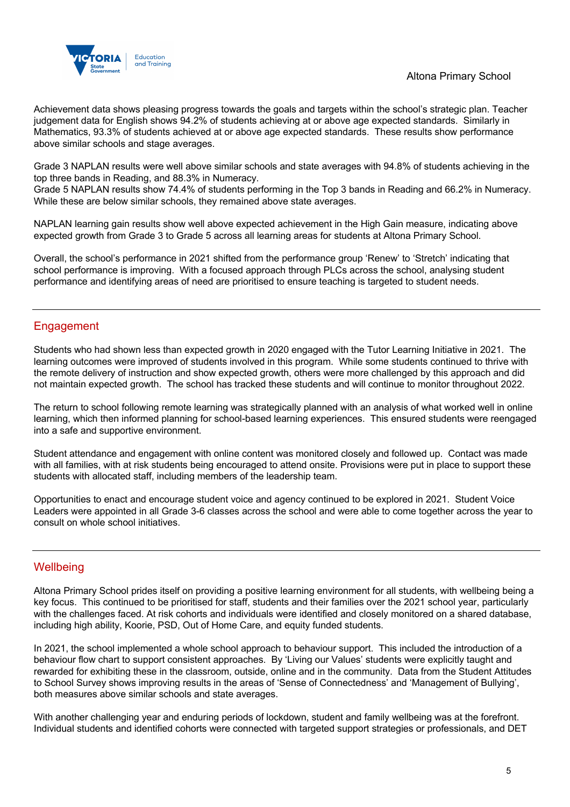

Achievement data shows pleasing progress towards the goals and targets within the school's strategic plan. Teacher judgement data for English shows 94.2% of students achieving at or above age expected standards. Similarly in Mathematics, 93.3% of students achieved at or above age expected standards. These results show performance above similar schools and stage averages.

Grade 3 NAPLAN results were well above similar schools and state averages with 94.8% of students achieving in the top three bands in Reading, and 88.3% in Numeracy.

Grade 5 NAPLAN results show 74.4% of students performing in the Top 3 bands in Reading and 66.2% in Numeracy. While these are below similar schools, they remained above state averages.

NAPLAN learning gain results show well above expected achievement in the High Gain measure, indicating above expected growth from Grade 3 to Grade 5 across all learning areas for students at Altona Primary School.

Overall, the school's performance in 2021 shifted from the performance group 'Renew' to 'Stretch' indicating that school performance is improving. With a focused approach through PLCs across the school, analysing student performance and identifying areas of need are prioritised to ensure teaching is targeted to student needs.

## Engagement

Students who had shown less than expected growth in 2020 engaged with the Tutor Learning Initiative in 2021. The learning outcomes were improved of students involved in this program. While some students continued to thrive with the remote delivery of instruction and show expected growth, others were more challenged by this approach and did not maintain expected growth. The school has tracked these students and will continue to monitor throughout 2022.

The return to school following remote learning was strategically planned with an analysis of what worked well in online learning, which then informed planning for school-based learning experiences. This ensured students were reengaged into a safe and supportive environment.

Student attendance and engagement with online content was monitored closely and followed up. Contact was made with all families, with at risk students being encouraged to attend onsite. Provisions were put in place to support these students with allocated staff, including members of the leadership team.

Opportunities to enact and encourage student voice and agency continued to be explored in 2021. Student Voice Leaders were appointed in all Grade 3-6 classes across the school and were able to come together across the year to consult on whole school initiatives.

## **Wellbeing**

Altona Primary School prides itself on providing a positive learning environment for all students, with wellbeing being a key focus. This continued to be prioritised for staff, students and their families over the 2021 school year, particularly with the challenges faced. At risk cohorts and individuals were identified and closely monitored on a shared database, including high ability, Koorie, PSD, Out of Home Care, and equity funded students.

In 2021, the school implemented a whole school approach to behaviour support. This included the introduction of a behaviour flow chart to support consistent approaches. By 'Living our Values' students were explicitly taught and rewarded for exhibiting these in the classroom, outside, online and in the community. Data from the Student Attitudes to School Survey shows improving results in the areas of 'Sense of Connectedness' and 'Management of Bullying', both measures above similar schools and state averages.

With another challenging year and enduring periods of lockdown, student and family wellbeing was at the forefront. Individual students and identified cohorts were connected with targeted support strategies or professionals, and DET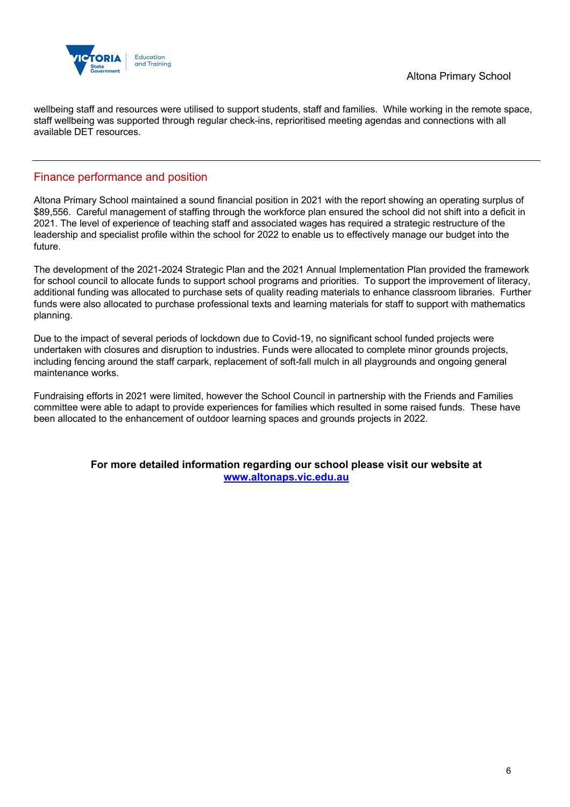

wellbeing staff and resources were utilised to support students, staff and families. While working in the remote space, staff wellbeing was supported through regular check-ins, reprioritised meeting agendas and connections with all available DET resources.

## Finance performance and position

Altona Primary School maintained a sound financial position in 2021 with the report showing an operating surplus of \$89,556. Careful management of staffing through the workforce plan ensured the school did not shift into a deficit in 2021. The level of experience of teaching staff and associated wages has required a strategic restructure of the leadership and specialist profile within the school for 2022 to enable us to effectively manage our budget into the future.

The development of the 2021-2024 Strategic Plan and the 2021 Annual Implementation Plan provided the framework for school council to allocate funds to support school programs and priorities. To support the improvement of literacy, additional funding was allocated to purchase sets of quality reading materials to enhance classroom libraries. Further funds were also allocated to purchase professional texts and learning materials for staff to support with mathematics planning.

Due to the impact of several periods of lockdown due to Covid-19, no significant school funded projects were undertaken with closures and disruption to industries. Funds were allocated to complete minor grounds projects, including fencing around the staff carpark, replacement of soft-fall mulch in all playgrounds and ongoing general maintenance works.

Fundraising efforts in 2021 were limited, however the School Council in partnership with the Friends and Families committee were able to adapt to provide experiences for families which resulted in some raised funds. These have been allocated to the enhancement of outdoor learning spaces and grounds projects in 2022.

> **For more detailed information regarding our school please visit our website at www.altonaps.vic.edu.au**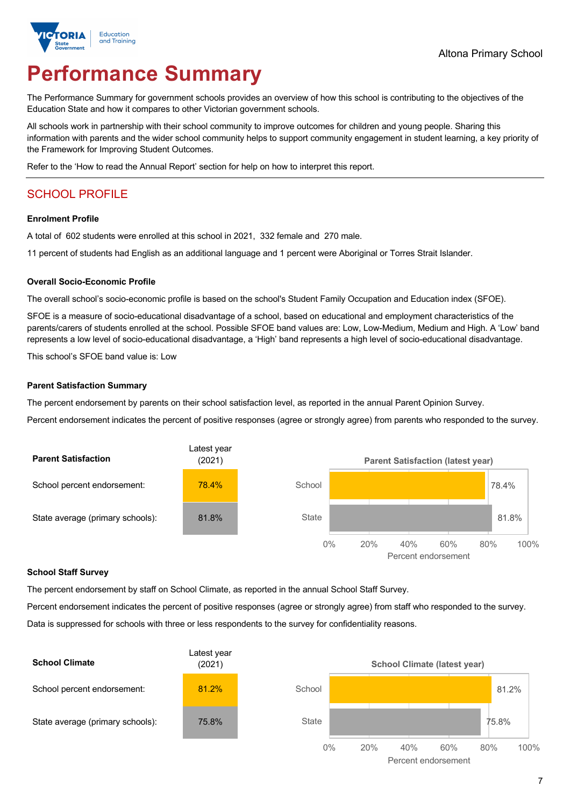

# **Performance Summary**

The Performance Summary for government schools provides an overview of how this school is contributing to the objectives of the Education State and how it compares to other Victorian government schools.

All schools work in partnership with their school community to improve outcomes for children and young people. Sharing this information with parents and the wider school community helps to support community engagement in student learning, a key priority of the Framework for Improving Student Outcomes.

Refer to the 'How to read the Annual Report' section for help on how to interpret this report.

## SCHOOL PROFILE

#### **Enrolment Profile**

A total of 602 students were enrolled at this school in 2021, 332 female and 270 male.

11 percent of students had English as an additional language and 1 percent were Aboriginal or Torres Strait Islander.

#### **Overall Socio-Economic Profile**

The overall school's socio-economic profile is based on the school's Student Family Occupation and Education index (SFOE).

SFOE is a measure of socio-educational disadvantage of a school, based on educational and employment characteristics of the parents/carers of students enrolled at the school. Possible SFOE band values are: Low, Low-Medium, Medium and High. A 'Low' band represents a low level of socio-educational disadvantage, a 'High' band represents a high level of socio-educational disadvantage.

This school's SFOE band value is: Low

#### **Parent Satisfaction Summary**

The percent endorsement by parents on their school satisfaction level, as reported in the annual Parent Opinion Survey.

Percent endorsement indicates the percent of positive responses (agree or strongly agree) from parents who responded to the survey.



#### **School Staff Survey**

The percent endorsement by staff on School Climate, as reported in the annual School Staff Survey.

Percent endorsement indicates the percent of positive responses (agree or strongly agree) from staff who responded to the survey. Data is suppressed for schools with three or less respondents to the survey for confidentiality reasons.

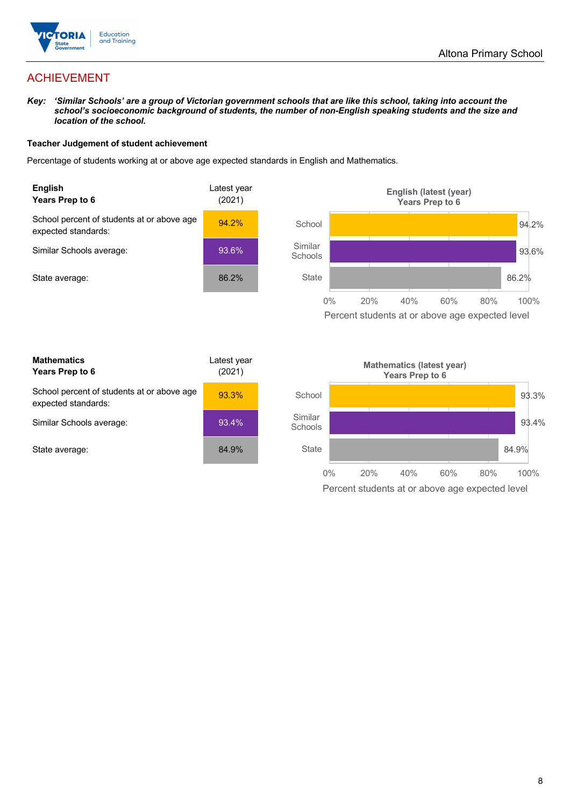

## ACHIEVEMENT

*Key: 'Similar Schools' are a group of Victorian government schools that are like this school, taking into account the school's socioeconomic background of students, the number of non-English speaking students and the size and location of the school.*

#### **Teacher Judgement of student achievement**

Percentage of students working at or above age expected standards in English and Mathematics.



Percent students at or above age expected level

| <b>Mathematics</b><br>Years Prep to 6                             | Latest year<br>(2021) |
|-------------------------------------------------------------------|-----------------------|
| School percent of students at or above age<br>expected standards: | 93.3%                 |
| Similar Schools average:                                          | 93.4%                 |
| State average:                                                    | 84.9%                 |

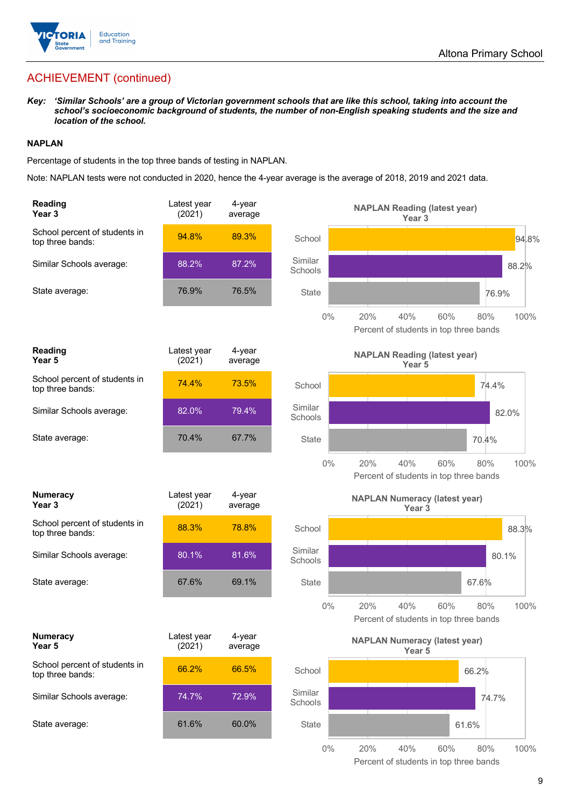

## ACHIEVEMENT (continued)

*Key: 'Similar Schools' are a group of Victorian government schools that are like this school, taking into account the school's socioeconomic background of students, the number of non-English speaking students and the size and location of the school.*

#### **NAPLAN**

Percentage of students in the top three bands of testing in NAPLAN.

Note: NAPLAN tests were not conducted in 2020, hence the 4-year average is the average of 2018, 2019 and 2021 data.

| <b>Reading</b><br>Year 3                          | Latest year<br>(2021) | 4-year<br>average |                    | <b>NAPLAN Reading (latest year)</b><br>Year <sub>3</sub>                   |
|---------------------------------------------------|-----------------------|-------------------|--------------------|----------------------------------------------------------------------------|
| School percent of students in<br>top three bands: | 94.8%                 | 89.3%             | School             | 94.8%                                                                      |
| Similar Schools average:                          | 88.2%                 | 87.2%             | Similar<br>Schools | 88.2%                                                                      |
| State average:                                    | 76.9%                 | 76.5%             | <b>State</b>       | 76.9%                                                                      |
|                                                   |                       |                   | $0\%$              | 20%<br>40%<br>60%<br>100%<br>80%<br>Percent of students in top three bands |
| Reading<br>Year 5                                 | Latest year<br>(2021) | 4-year<br>average |                    | <b>NAPLAN Reading (latest year)</b><br>Year 5                              |
| School percent of students in<br>top three bands: | 74.4%                 | 73.5%             | School             | 74.4%                                                                      |
| Similar Schools average:                          | 82.0%                 | 79.4%             | Similar<br>Schools | 82.0%                                                                      |
| State average:                                    | 70.4%                 | 67.7%             | <b>State</b>       | 70.4%                                                                      |
|                                                   |                       |                   | $0\%$              | 20%<br>40%<br>60%<br>80%<br>100%<br>Percent of students in top three bands |
| <b>Numeracy</b><br>Year <sub>3</sub>              | Latest year<br>(2021) | 4-year<br>average |                    | <b>NAPLAN Numeracy (latest year)</b><br>Year <sub>3</sub>                  |
| School percent of students in<br>top three bands: | 88.3%                 | 78.8%             | School             | 88.3%                                                                      |
| Similar Schools average:                          | 80.1%                 | 81.6%             | Similar<br>Schools | 80.1%                                                                      |
| State average:                                    | 67.6%                 | 69.1%             | <b>State</b>       | 67.6%                                                                      |
|                                                   |                       |                   | $0\%$              | 20%<br>40%<br>60%<br>80%<br>100%<br>Percent of students in top three bands |
| <b>Numeracy</b><br>Year 5                         | Latest year<br>(2021) | 4-year<br>average |                    | <b>NAPLAN Numeracy (latest year)</b><br>Year 5                             |
| School percent of students in<br>top three bands: | 66.2%                 | 66.5%             | School             | 66.2%                                                                      |
| Similar Schools average:                          | 74.7%                 | 72.9%             | Similar<br>Schools | 74.7%                                                                      |
| State average:                                    | 61.6%                 | 60.0%             | <b>State</b>       | 61.6%                                                                      |
|                                                   |                       |                   | $0\%$              | 20%<br>40%<br>60%<br>80%<br>100%                                           |

Percent of students in top three bands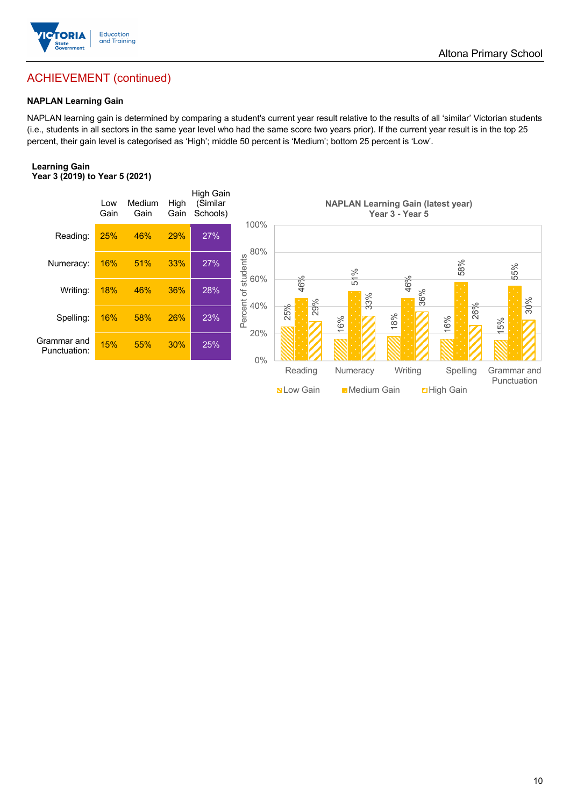

## ACHIEVEMENT (continued)

#### **NAPLAN Learning Gain**

NAPLAN learning gain is determined by comparing a student's current year result relative to the results of all 'similar' Victorian students (i.e., students in all sectors in the same year level who had the same score two years prior). If the current year result is in the top 25 percent, their gain level is categorised as 'High'; middle 50 percent is 'Medium'; bottom 25 percent is 'Low'.

#### **Learning Gain Year 3 (2019) to Year 5 (2021)**



**Nation Common Digital Medium Gain** Digh Gain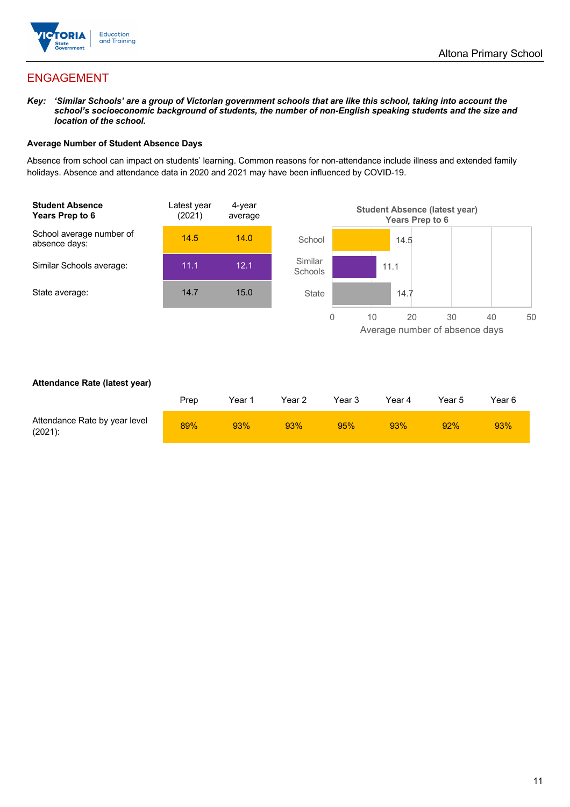

## ENGAGEMENT

*Key: 'Similar Schools' are a group of Victorian government schools that are like this school, taking into account the school's socioeconomic background of students, the number of non-English speaking students and the size and location of the school.*

#### **Average Number of Student Absence Days**

Absence from school can impact on students' learning. Common reasons for non-attendance include illness and extended family holidays. Absence and attendance data in 2020 and 2021 may have been influenced by COVID-19.



#### **Attendance Rate (latest year)**

|                                             | Prep | Year 1 | Year 2 | Year 3 | Year 4 | Year 5 | Year 6 |
|---------------------------------------------|------|--------|--------|--------|--------|--------|--------|
| Attendance Rate by year level<br>$(2021)$ : | 89%  | 93%    | 93%    | 95%    | 93%    | 92%    | 93%    |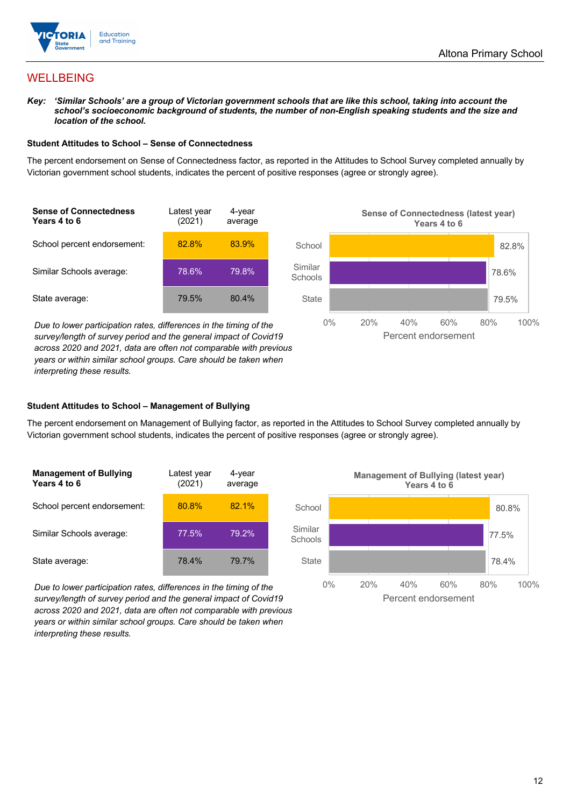

## **WELLBEING**

*Key: 'Similar Schools' are a group of Victorian government schools that are like this school, taking into account the*  school's socioeconomic background of students, the number of non-English speaking students and the size and *location of the school.*

#### **Student Attitudes to School – Sense of Connectedness**

The percent endorsement on Sense of Connectedness factor, as reported in the Attitudes to School Survey completed annually by Victorian government school students, indicates the percent of positive responses (agree or strongly agree).



*Due to lower participation rates, differences in the timing of the survey/length of survey period and the general impact of Covid19 across 2020 and 2021, data are often not comparable with previous years or within similar school groups. Care should be taken when interpreting these results.*



#### **Student Attitudes to School – Management of Bullying**

The percent endorsement on Management of Bullying factor, as reported in the Attitudes to School Survey completed annually by Victorian government school students, indicates the percent of positive responses (agree or strongly agree).

| <b>Management of Bullying</b><br>Years 4 to 6 | Latest year<br>(2021) | 4-year<br>average |  |
|-----------------------------------------------|-----------------------|-------------------|--|
| School percent endorsement:                   | 80.8%                 | 82.1%             |  |
| Similar Schools average:                      | 77.5%                 | 79.2%             |  |
| State average:                                | 78.4%                 | 79.7%             |  |

*Due to lower participation rates, differences in the timing of the survey/length of survey period and the general impact of Covid19 across 2020 and 2021, data are often not comparable with previous years or within similar school groups. Care should be taken when interpreting these results.*

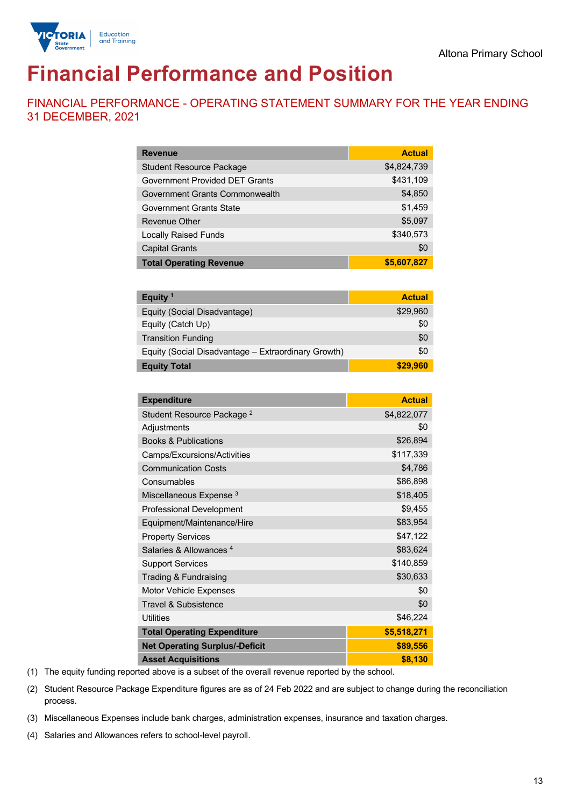

# **Financial Performance and Position**

FINANCIAL PERFORMANCE - OPERATING STATEMENT SUMMARY FOR THE YEAR ENDING 31 DECEMBER, 2021

| <b>Revenue</b>                  | <b>Actual</b> |
|---------------------------------|---------------|
| <b>Student Resource Package</b> | \$4,824,739   |
| Government Provided DET Grants  | \$431,109     |
| Government Grants Commonwealth  | \$4,850       |
| <b>Government Grants State</b>  | \$1,459       |
| <b>Revenue Other</b>            | \$5,097       |
| <b>Locally Raised Funds</b>     | \$340,573     |
| <b>Capital Grants</b>           | \$0           |
| <b>Total Operating Revenue</b>  | \$5,607,827   |

| Equity $1$                                          | <b>Actual</b> |
|-----------------------------------------------------|---------------|
| Equity (Social Disadvantage)                        | \$29,960      |
| Equity (Catch Up)                                   | \$0           |
| <b>Transition Funding</b>                           | \$0           |
| Equity (Social Disadvantage - Extraordinary Growth) | \$0           |
| <b>Equity Total</b>                                 | \$29.960      |

| <b>Expenditure</b>                    | <b>Actual</b> |
|---------------------------------------|---------------|
| Student Resource Package <sup>2</sup> | \$4,822,077   |
| Adjustments                           | \$0           |
| <b>Books &amp; Publications</b>       | \$26,894      |
| Camps/Excursions/Activities           | \$117,339     |
| <b>Communication Costs</b>            | \$4,786       |
| Consumables                           | \$86,898      |
| Miscellaneous Expense <sup>3</sup>    | \$18,405      |
| <b>Professional Development</b>       | \$9,455       |
| Equipment/Maintenance/Hire            | \$83,954      |
| <b>Property Services</b>              | \$47,122      |
| Salaries & Allowances <sup>4</sup>    | \$83,624      |
| <b>Support Services</b>               | \$140,859     |
| Trading & Fundraising                 | \$30,633      |
| <b>Motor Vehicle Expenses</b>         | \$0           |
| Travel & Subsistence                  | \$0           |
| <b>Utilities</b>                      | \$46,224      |
| <b>Total Operating Expenditure</b>    | \$5,518,271   |
| <b>Net Operating Surplus/-Deficit</b> | \$89,556      |
| <b>Asset Acquisitions</b>             | \$8,130       |

(1) The equity funding reported above is a subset of the overall revenue reported by the school.

(2) Student Resource Package Expenditure figures are as of 24 Feb 2022 and are subject to change during the reconciliation process.

(3) Miscellaneous Expenses include bank charges, administration expenses, insurance and taxation charges.

(4) Salaries and Allowances refers to school-level payroll.